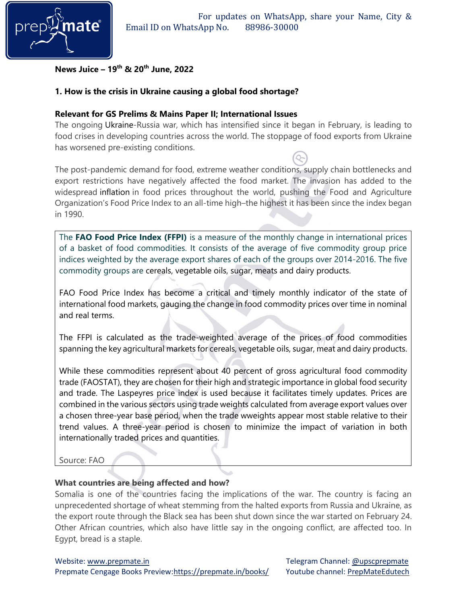

## **News Juice – 19 th & 20th June, 2022**

## **1. How is the crisis in Ukraine causing a global food shortage?**

### **Relevant for GS Prelims & Mains Paper II; International Issues**

The ongoing Ukraine-Russia war, which has intensified since it began in February, is leading to food crises in developing countries across the world. The stoppage of food exports from Ukraine has worsened pre-existing conditions.

The post-pandemic demand for food, extreme weather conditions, supply chain bottlenecks and export restrictions have negatively affected the food market. The invasion has added to the widespread inflation in food prices throughout the world, pushing the Food and Agriculture Organization's Food Price Index to an all-time high–the highest it has been since the index began in 1990.

The **FAO Food Price Index (FFPI)** is a measure of the monthly change in international prices of a basket of food commodities. It consists of the average of five commodity group price indices weighted by the average export shares of each of the groups over 2014-2016. The five commodity groups are cereals, vegetable oils, sugar, meats and dairy products.

FAO Food Price Index has become a critical and timely monthly indicator of the state of international food markets, gauging the change in food commodity prices over time in nominal and real terms.

The FFPI is calculated as the trade-weighted average of the prices of food commodities spanning the key agricultural markets for cereals, vegetable oils, sugar, meat and dairy products.

While these commodities represent about 40 percent of gross agricultural food commodity trade (FAOSTAT), they are chosen for their high and strategic importance in global food security and trade. The Laspeyres price index is used because it facilitates timely updates. Prices are combined in the various sectors using trade weights calculated from average export values over a chosen three-year base period, when the trade wweights appear most stable relative to their trend values. A three-year period is chosen to minimize the impact of variation in both internationally traded prices and quantities.

Source: FAO

### **What countries are being affected and how?**

Somalia is one of the countries facing the implications of the war. The country is facing an unprecedented shortage of wheat stemming from the halted exports from Russia and Ukraine, as the export route through the Black sea has been shut down since the war started on February 24. Other African countries, which also have little say in the ongoing conflict, are affected too. In Egypt, bread is a staple.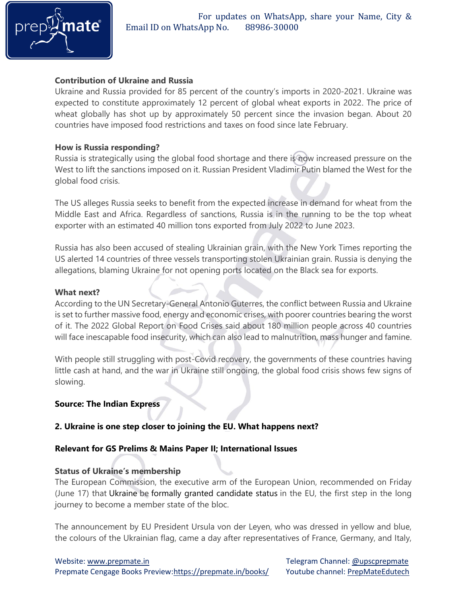

## **Contribution of Ukraine and Russia**

Ukraine and Russia provided for 85 percent of the country's imports in 2020-2021. Ukraine was expected to constitute approximately 12 percent of global wheat exports in 2022. The price of wheat globally has shot up by approximately 50 percent since the invasion began. About 20 countries have imposed food restrictions and taxes on food since late February.

### **How is Russia responding?**

Russia is strategically using the global food shortage and there is now increased pressure on the West to lift the sanctions imposed on it. Russian President Vladimir Putin blamed the West for the global food crisis.

The US alleges Russia seeks to benefit from the expected increase in demand for wheat from the Middle East and Africa. Regardless of sanctions, Russia is in the running to be the top wheat exporter with an estimated 40 million tons exported from July 2022 to June 2023.

Russia has also been accused of stealing Ukrainian grain, with the New York Times reporting the US alerted 14 countries of three vessels transporting stolen Ukrainian grain. Russia is denying the allegations, blaming Ukraine for not opening ports located on the Black sea for exports.

### **What next?**

According to the UN Secretary-General Antonio Guterres, the conflict between Russia and Ukraine is set to further massive food, energy and economic crises, with poorer countries bearing the worst of it. The 2022 Global Report on Food Crises said about 180 million people across 40 countries will face inescapable food insecurity, which can also lead to malnutrition, mass hunger and famine.

With people still struggling with post-Covid recovery, the governments of these countries having little cash at hand, and the war in Ukraine still ongoing, the global food crisis shows few signs of slowing.

### **Source: The Indian Express**

## **2. Ukraine is one step closer to joining the EU. What happens next?**

## **Relevant for GS Prelims & Mains Paper II; International Issues**

### **Status of Ukraine's membership**

The European Commission, the executive arm of the European Union, recommended on Friday (June 17) that Ukraine be formally granted candidate status in the EU, the first step in the long journey to become a member state of the bloc.

The announcement by EU President Ursula von der Leyen, who was dressed in yellow and blue, the colours of the Ukrainian flag, came a day after representatives of France, Germany, and Italy,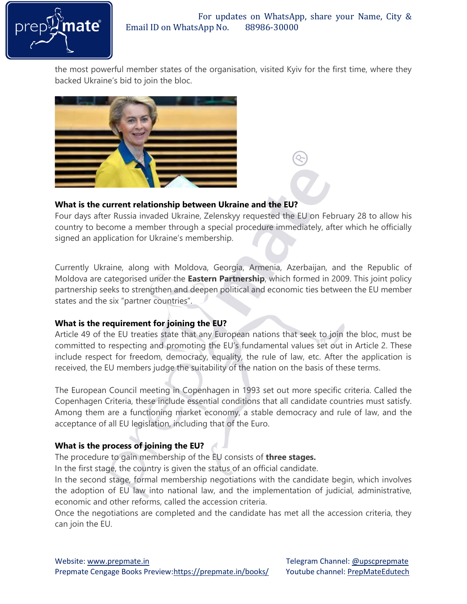

the most powerful member states of the organisation, visited Kyiv for the first time, where they backed Ukraine's bid to join the bloc.



# **What is the current relationship between Ukraine and the EU?**

Four days after Russia invaded Ukraine, Zelenskyy requested the EU on February 28 to allow his country to become a member through a special procedure immediately, after which he officially signed an application for Ukraine's membership.

Currently Ukraine, along with Moldova, Georgia, Armenia, Azerbaijan, and the Republic of Moldova are categorised under the **Eastern Partnership**, which formed in 2009. This joint policy partnership seeks to strengthen and deepen political and economic ties between the EU member states and the six "partner countries".

# **What is the requirement for joining the EU?**

Article 49 of the EU treaties state that any European nations that seek to join the bloc, must be committed to respecting and promoting the EU's fundamental values set out in Article 2. These include respect for freedom, democracy, equality, the rule of law, etc. After the application is received, the EU members judge the suitability of the nation on the basis of these terms.

The European Council meeting in Copenhagen in 1993 set out more specific criteria. Called the Copenhagen Criteria, these include essential conditions that all candidate countries must satisfy. Among them are a functioning market economy, a stable democracy and rule of law, and the acceptance of all EU legislation, including that of the Euro.

## **What is the process of joining the EU?**

The procedure to gain membership of the EU consists of **three stages.**

In the first stage, the country is given the status of an official candidate.

In the second stage, formal membership negotiations with the candidate begin, which involves the adoption of EU law into national law, and the implementation of judicial, administrative, economic and other reforms, called the accession criteria.

Once the negotiations are completed and the candidate has met all the accession criteria, they can join the EU.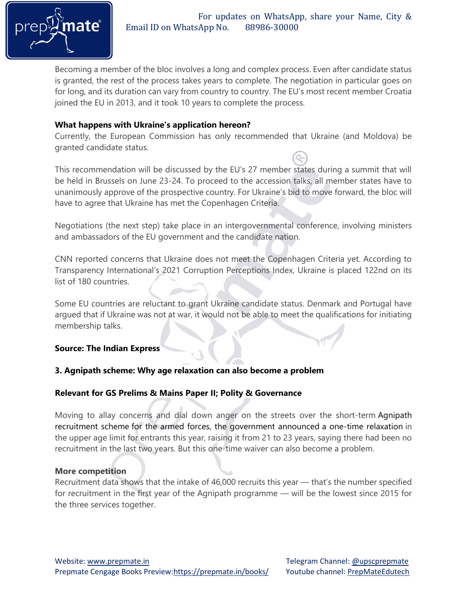

Becoming a member of the bloc involves a long and complex process. Even after candidate status is granted, the rest of the process takes years to complete. The negotiation in particular goes on for long, and its duration can vary from country to country. The EU's most recent member Croatia joined the EU in 2013, and it took 10 years to complete the process.

## **What happens with Ukraine's application hereon?**

Currently, the European Commission has only recommended that Ukraine (and Moldova) be granted candidate status.

This recommendation will be discussed by the EU's 27 member states during a summit that will be held in Brussels on June 23-24. To proceed to the accession talks, all member states have to unanimously approve of the prospective country. For Ukraine's bid to move forward, the bloc will have to agree that Ukraine has met the Copenhagen Criteria.

Negotiations (the next step) take place in an intergovernmental conference, involving ministers and ambassadors of the EU government and the candidate nation.

CNN reported concerns that Ukraine does not meet the Copenhagen Criteria yet. According to Transparency International's 2021 Corruption Perceptions Index, Ukraine is placed 122nd on its list of 180 countries.

Some EU countries are reluctant to grant Ukraine candidate status. Denmark and Portugal have argued that if Ukraine was not at war, it would not be able to meet the qualifications for initiating membership talks.

## **Source: The Indian Express**

## **3. Agnipath scheme: Why age relaxation can also become a problem**

## **Relevant for GS Prelims & Mains Paper II; Polity & Governance**

Moving to allay concerns and dial down anger on the streets over the short-term Agnipath recruitment scheme for the armed forces, the government announced a one-time relaxation in the upper age limit for entrants this year, raising it from 21 to 23 years, saying there had been no recruitment in the last two years. But this one-time waiver can also become a problem.

### **More competition**

Recruitment data shows that the intake of 46,000 recruits this year — that's the number specified for recruitment in the first year of the Agnipath programme — will be the lowest since 2015 for the three services together.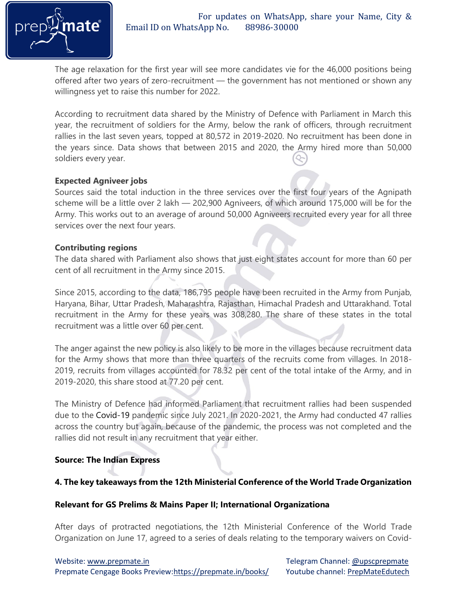

The age relaxation for the first year will see more candidates vie for the 46,000 positions being offered after two years of zero-recruitment — the government has not mentioned or shown any willingness yet to raise this number for 2022.

According to recruitment data shared by the Ministry of Defence with Parliament in March this year, the recruitment of soldiers for the Army, below the rank of officers, through recruitment rallies in the last seven years, topped at 80,572 in 2019-2020. No recruitment has been done in the years since. Data shows that between 2015 and 2020, the Army hired more than 50,000 soldiers every year.

## **Expected Agniveer jobs**

Sources said the total induction in the three services over the first four years of the Agnipath scheme will be a little over 2 lakh — 202,900 Agniveers, of which around 175,000 will be for the Army. This works out to an average of around 50,000 Agniveers recruited every year for all three services over the next four years.

## **Contributing regions**

The data shared with Parliament also shows that just eight states account for more than 60 per cent of all recruitment in the Army since 2015.

Since 2015, according to the data, 186,795 people have been recruited in the Army from Punjab, Haryana, Bihar, Uttar Pradesh, Maharashtra, Rajasthan, Himachal Pradesh and Uttarakhand. Total recruitment in the Army for these years was 308,280. The share of these states in the total recruitment was a little over 60 per cent.

The anger against the new policy is also likely to be more in the villages because recruitment data for the Army shows that more than three quarters of the recruits come from villages. In 2018- 2019, recruits from villages accounted for 78.32 per cent of the total intake of the Army, and in 2019-2020, this share stood at 77.20 per cent.

The Ministry of Defence had informed Parliament that recruitment rallies had been suspended due to the Covid-19 pandemic since July 2021. In 2020-2021, the Army had conducted 47 rallies across the country but again, because of the pandemic, the process was not completed and the rallies did not result in any recruitment that year either.

## **Source: The Indian Express**

## **4. The key takeaways from the 12th Ministerial Conference of the World Trade Organization**

### **Relevant for GS Prelims & Mains Paper II; International Organizationa**

After days of protracted negotiations, the 12th Ministerial Conference of the World Trade Organization on June 17, agreed to a series of deals relating to the temporary waivers on Covid-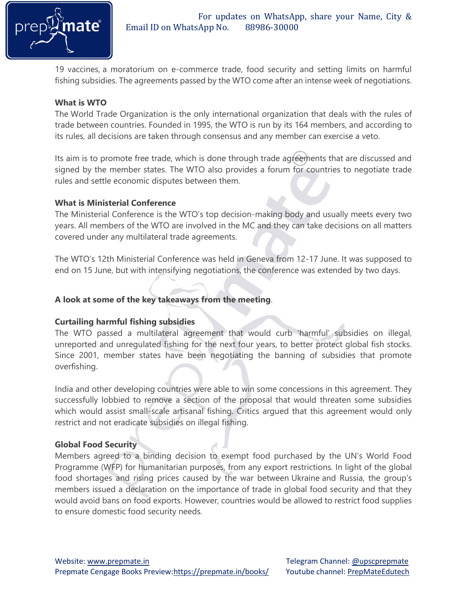

19 vaccines, a moratorium on e-commerce trade, food security and setting limits on harmful fishing subsidies. The agreements passed by the WTO come after an intense week of negotiations.

## **What is WTO**

The World Trade Organization is the only international organization that deals with the rules of trade between countries. Founded in 1995, the WTO is run by its 164 members, and according to its rules, all decisions are taken through consensus and any member can exercise a veto.

Its aim is to promote free trade, which is done through trade agreements that are discussed and signed by the member states. The WTO also provides a forum for countries to negotiate trade rules and settle economic disputes between them.

## **What is Ministerial Conference**

The Ministerial Conference is the WTO's top decision-making body and usually meets every two years. All members of the WTO are involved in the MC and they can take decisions on all matters covered under any multilateral trade agreements.

The WTO's 12th Ministerial Conference was held in Geneva from 12-17 June. It was supposed to end on 15 June, but with intensifying negotiations, the conference was extended by two days.

## **A look at some of the key takeaways from the meeting**.

### **Curtailing harmful fishing subsidies**

The WTO passed a multilateral agreement that would curb 'harmful' subsidies on illegal, unreported and unregulated fishing for the next four years, to better protect global fish stocks. Since 2001, member states have been negotiating the banning of subsidies that promote overfishing.

India and other developing countries were able to win some concessions in this agreement. They successfully lobbied to remove a section of the proposal that would threaten some subsidies which would assist small-scale artisanal fishing. Critics argued that this agreement would only restrict and not eradicate subsidies on illegal fishing.

### **Global Food Security**

Members agreed to a binding decision to exempt food purchased by the UN's World Food Programme (WFP) for humanitarian purposes, from any export restrictions. In light of the global food shortages and rising prices caused by the war between Ukraine and Russia, the group's members issued a declaration on the importance of trade in global food security and that they would avoid bans on food exports. However, countries would be allowed to restrict food supplies to ensure domestic food security needs.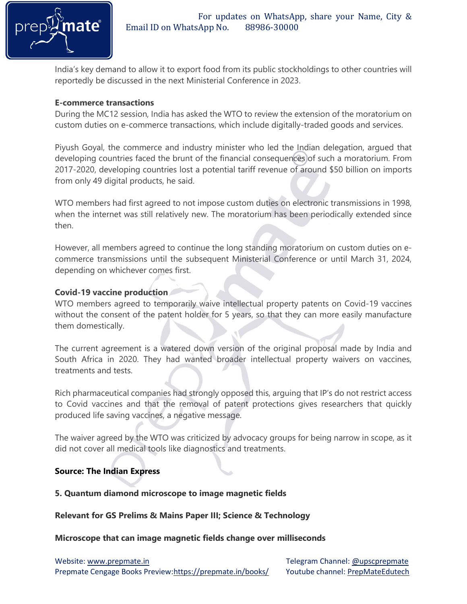

India's key demand to allow it to export food from its public stockholdings to other countries will reportedly be discussed in the next Ministerial Conference in 2023.

### **E-commerce transactions**

During the MC12 session, India has asked the WTO to review the extension of the moratorium on custom duties on e-commerce transactions, which include digitally-traded goods and services.

Piyush Goyal, the commerce and industry minister who led the Indian delegation, argued that developing countries faced the brunt of the financial consequences of such a moratorium. From 2017-2020, developing countries lost a potential tariff revenue of around \$50 billion on imports from only 49 digital products, he said.

WTO members had first agreed to not impose custom duties on electronic transmissions in 1998, when the internet was still relatively new. The moratorium has been periodically extended since then.

However, all members agreed to continue the long standing moratorium on custom duties on ecommerce transmissions until the subsequent Ministerial Conference or until March 31, 2024, depending on whichever comes first.

## **Covid-19 vaccine production**

WTO members agreed to temporarily waive intellectual property patents on Covid-19 vaccines without the consent of the patent holder for 5 years, so that they can more easily manufacture them domestically.

The current agreement is a watered down version of the original proposal made by India and South Africa in 2020. They had wanted broader intellectual property waivers on vaccines, treatments and tests.

Rich pharmaceutical companies had strongly opposed this, arguing that IP's do not restrict access to Covid vaccines and that the removal of patent protections gives researchers that quickly produced life saving vaccines, a negative message.

The waiver agreed by the WTO was criticized by advocacy groups for being narrow in scope, as it did not cover all medical tools like diagnostics and treatments.

## **Source: The Indian Express**

### **5. Quantum diamond microscope to image magnetic fields**

### **Relevant for GS Prelims & Mains Paper III; Science & Technology**

### **Microscope that can image magnetic fields change over milliseconds**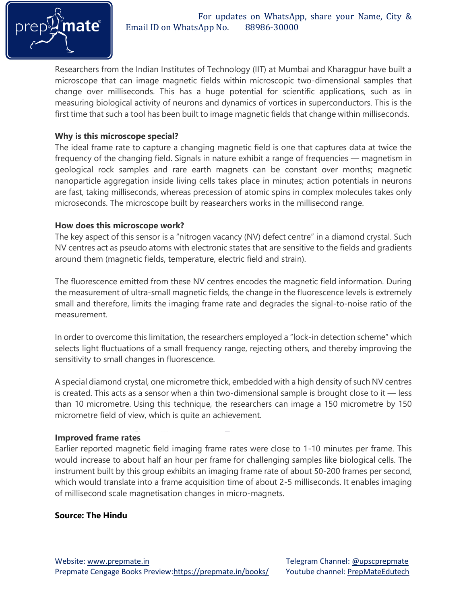

Researchers from the Indian Institutes of Technology (IIT) at Mumbai and Kharagpur have built a microscope that can image magnetic fields within microscopic two-dimensional samples that change over milliseconds. This has a huge potential for scientific applications, such as in measuring biological activity of neurons and dynamics of vortices in superconductors. This is the first time that such a tool has been built to image magnetic fields that change within milliseconds.

## **Why is this microscope special?**

The ideal frame rate to capture a changing magnetic field is one that captures data at twice the frequency of the changing field. Signals in nature exhibit a range of frequencies — magnetism in geological rock samples and rare earth magnets can be constant over months; magnetic nanoparticle aggregation inside living cells takes place in minutes; action potentials in neurons are fast, taking milliseconds, whereas precession of atomic spins in complex molecules takes only microseconds. The microscope built by reasearchers works in the millisecond range.

## **How does this microscope work?**

The key aspect of this sensor is a "nitrogen vacancy (NV) defect centre" in a diamond crystal. Such NV centres act as pseudo atoms with electronic states that are sensitive to the fields and gradients around them (magnetic fields, temperature, electric field and strain).

The fluorescence emitted from these NV centres encodes the magnetic field information. During the measurement of ultra-small magnetic fields, the change in the fluorescence levels is extremely small and therefore, limits the imaging frame rate and degrades the signal-to-noise ratio of the measurement.

In order to overcome this limitation, the researchers employed a "lock-in detection scheme" which selects light fluctuations of a small frequency range, rejecting others, and thereby improving the sensitivity to small changes in fluorescence.

A special diamond crystal, one micrometre thick, embedded with a high density of such NV centres is created. This acts as a sensor when a thin two-dimensional sample is brought close to it — less than 10 micrometre. Using this technique, the researchers can image a 150 micrometre by 150 micrometre field of view, which is quite an achievement.

### **Improved frame rates**

Earlier reported magnetic field imaging frame rates were close to 1-10 minutes per frame. This would increase to about half an hour per frame for challenging samples like biological cells. The instrument built by this group exhibits an imaging frame rate of about 50-200 frames per second, which would translate into a frame acquisition time of about 2-5 milliseconds. It enables imaging of millisecond scale magnetisation changes in micro-magnets.

## **Source: The Hindu**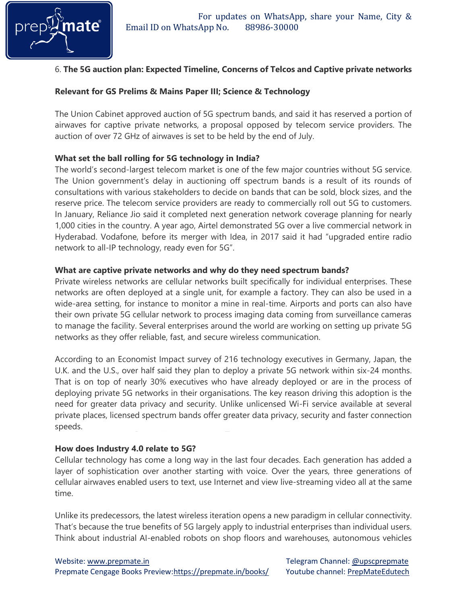

## 6. **The 5G auction plan: Expected Timeline, Concerns of Telcos and Captive private networks**

## **Relevant for GS Prelims & Mains Paper III; Science & Technology**

The Union Cabinet approved auction of 5G spectrum bands, and said it has reserved a portion of airwaves for captive private networks, a proposal opposed by telecom service providers. The auction of over 72 GHz of airwaves is set to be held by the end of July.

## **What set the ball rolling for 5G technology in India?**

The world's second-largest telecom market is one of the few major countries without 5G service. The Union government's delay in auctioning off spectrum bands is a result of its rounds of consultations with various stakeholders to decide on bands that can be sold, block sizes, and the reserve price. The telecom service providers are ready to commercially roll out 5G to customers. In January, Reliance Jio said it completed next generation network coverage planning for nearly 1,000 cities in the country. A year ago, Airtel demonstrated 5G over a live commercial network in Hyderabad. Vodafone, before its merger with Idea, in 2017 said it had "upgraded entire radio network to all-IP technology, ready even for 5G".

## **What are captive private networks and why do they need spectrum bands?**

Private wireless networks are cellular networks built specifically for individual enterprises. These networks are often deployed at a single unit, for example a factory. They can also be used in a wide-area setting, for instance to monitor a mine in real-time. Airports and ports can also have their own private 5G cellular network to process imaging data coming from surveillance cameras to manage the facility. Several enterprises around the world are working on setting up private 5G networks as they offer reliable, fast, and secure wireless communication.

According to an Economist Impact survey of 216 technology executives in Germany, Japan, the U.K. and the U.S., over half said they plan to deploy a private 5G network within six-24 months. That is on top of nearly 30% executives who have already deployed or are in the process of deploying private 5G networks in their organisations. The key reason driving this adoption is the need for greater data privacy and security. Unlike unlicensed Wi-Fi service available at several private places, licensed spectrum bands offer greater data privacy, security and faster connection speeds.

### **How does Industry 4.0 relate to 5G?**

Cellular technology has come a long way in the last four decades. Each generation has added a layer of sophistication over another starting with voice. Over the years, three generations of cellular airwaves enabled users to text, use Internet and view live-streaming video all at the same time.

Unlike its predecessors, the latest wireless iteration opens a new paradigm in cellular connectivity. That's because the true benefits of 5G largely apply to industrial enterprises than individual users. Think about industrial AI-enabled robots on shop floors and warehouses, autonomous vehicles